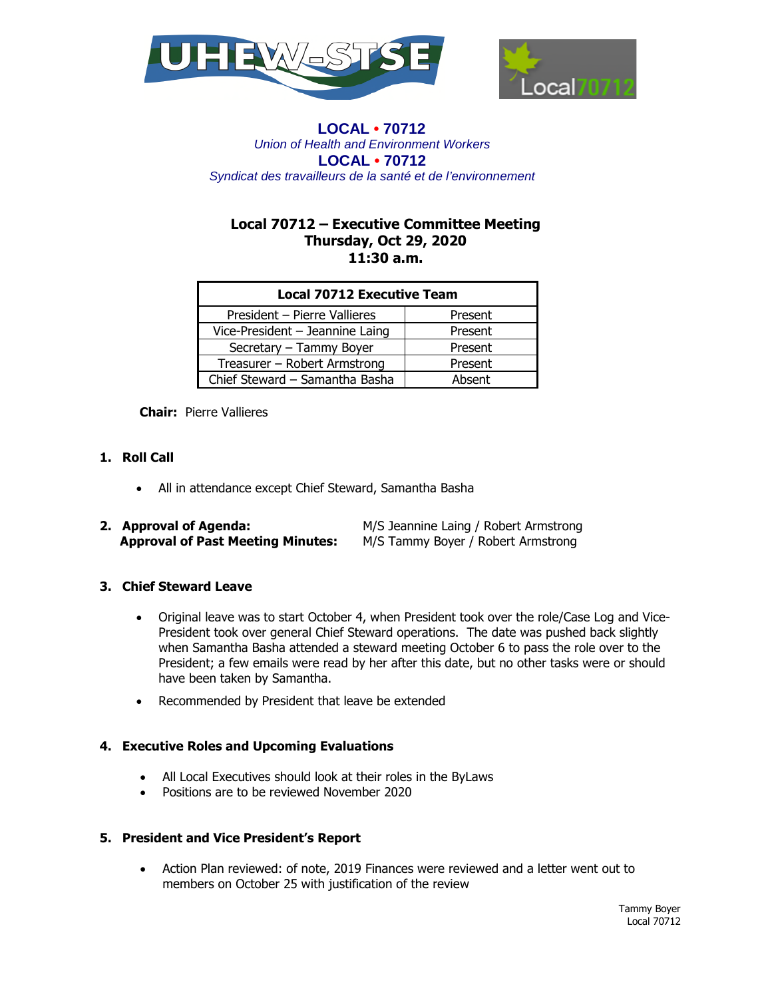



# **Local 70712 – Executive Committee Meeting Thursday, Oct 29, 2020 11:30 a.m.**

| <b>Local 70712 Executive Team</b> |         |
|-----------------------------------|---------|
| President - Pierre Vallieres      | Present |
| Vice-President - Jeannine Laing   | Present |
| Secretary - Tammy Boyer           | Present |
| Treasurer - Robert Armstrong      | Present |
| Chief Steward - Samantha Basha    | Absent  |

**Chair:** Pierre Vallieres

# **1. Roll Call**

All in attendance except Chief Steward, Samantha Basha

| 2. Approval of Agenda:                   | M/S Jeannine Laing / Robert Armstrong |
|------------------------------------------|---------------------------------------|
| <b>Approval of Past Meeting Minutes:</b> | M/S Tammy Boyer / Robert Armstrong    |

# **3. Chief Steward Leave**

- Original leave was to start October 4, when President took over the role/Case Log and Vice-President took over general Chief Steward operations. The date was pushed back slightly when Samantha Basha attended a steward meeting October 6 to pass the role over to the President; a few emails were read by her after this date, but no other tasks were or should have been taken by Samantha.
- Recommended by President that leave be extended

## **4. Executive Roles and Upcoming Evaluations**

- All Local Executives should look at their roles in the ByLaws
- Positions are to be reviewed November 2020

## **5. President and Vice President's Report**

 Action Plan reviewed: of note, 2019 Finances were reviewed and a letter went out to members on October 25 with justification of the review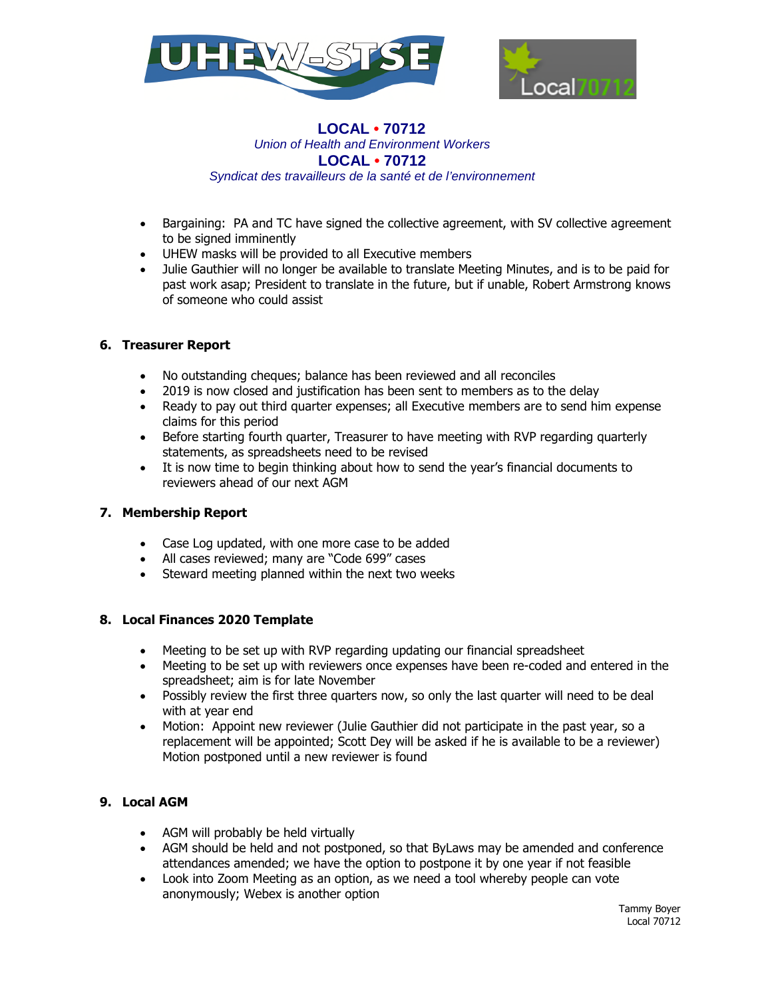



- Bargaining: PA and TC have signed the collective agreement, with SV collective agreement to be signed imminently
- UHEW masks will be provided to all Executive members
- Julie Gauthier will no longer be available to translate Meeting Minutes, and is to be paid for past work asap; President to translate in the future, but if unable, Robert Armstrong knows of someone who could assist

## **6. Treasurer Report**

- No outstanding cheques; balance has been reviewed and all reconciles
- 2019 is now closed and justification has been sent to members as to the delay
- Ready to pay out third quarter expenses; all Executive members are to send him expense claims for this period
- Before starting fourth quarter, Treasurer to have meeting with RVP regarding quarterly statements, as spreadsheets need to be revised
- It is now time to begin thinking about how to send the year's financial documents to reviewers ahead of our next AGM

# **7. Membership Report**

- Case Log updated, with one more case to be added
- All cases reviewed; many are "Code 699" cases
- Steward meeting planned within the next two weeks

## **8. Local Finances 2020 Template**

- Meeting to be set up with RVP regarding updating our financial spreadsheet
- Meeting to be set up with reviewers once expenses have been re-coded and entered in the spreadsheet; aim is for late November
- Possibly review the first three quarters now, so only the last quarter will need to be deal with at year end
- Motion: Appoint new reviewer (Julie Gauthier did not participate in the past year, so a replacement will be appointed; Scott Dey will be asked if he is available to be a reviewer) Motion postponed until a new reviewer is found

# **9. Local AGM**

- AGM will probably be held virtually
- AGM should be held and not postponed, so that ByLaws may be amended and conference attendances amended; we have the option to postpone it by one year if not feasible
- Look into Zoom Meeting as an option, as we need a tool whereby people can vote anonymously; Webex is another option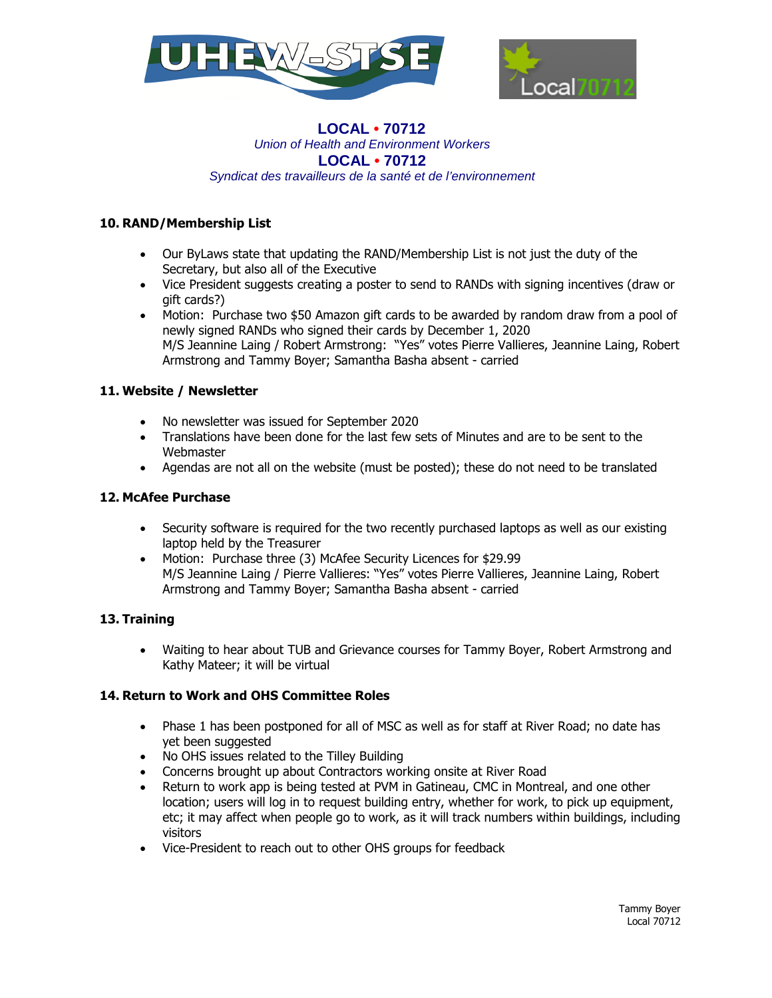



# **10. RAND/Membership List**

- Our ByLaws state that updating the RAND/Membership List is not just the duty of the Secretary, but also all of the Executive
- Vice President suggests creating a poster to send to RANDs with signing incentives (draw or gift cards?)
- Motion: Purchase two \$50 Amazon gift cards to be awarded by random draw from a pool of newly signed RANDs who signed their cards by December 1, 2020 M/S Jeannine Laing / Robert Armstrong: "Yes" votes Pierre Vallieres, Jeannine Laing, Robert Armstrong and Tammy Boyer; Samantha Basha absent - carried

## **11. Website / Newsletter**

- No newsletter was issued for September 2020
- Translations have been done for the last few sets of Minutes and are to be sent to the Webmaster
- Agendas are not all on the website (must be posted); these do not need to be translated

## **12. McAfee Purchase**

- Security software is required for the two recently purchased laptops as well as our existing laptop held by the Treasurer
- Motion: Purchase three (3) McAfee Security Licences for \$29.99 M/S Jeannine Laing / Pierre Vallieres: "Yes" votes Pierre Vallieres, Jeannine Laing, Robert Armstrong and Tammy Boyer; Samantha Basha absent - carried

# **13. Training**

 Waiting to hear about TUB and Grievance courses for Tammy Boyer, Robert Armstrong and Kathy Mateer; it will be virtual

# **14. Return to Work and OHS Committee Roles**

- Phase 1 has been postponed for all of MSC as well as for staff at River Road; no date has yet been suggested
- No OHS issues related to the Tilley Building
- Concerns brought up about Contractors working onsite at River Road
- Return to work app is being tested at PVM in Gatineau, CMC in Montreal, and one other location; users will log in to request building entry, whether for work, to pick up equipment, etc; it may affect when people go to work, as it will track numbers within buildings, including visitors
- Vice-President to reach out to other OHS groups for feedback